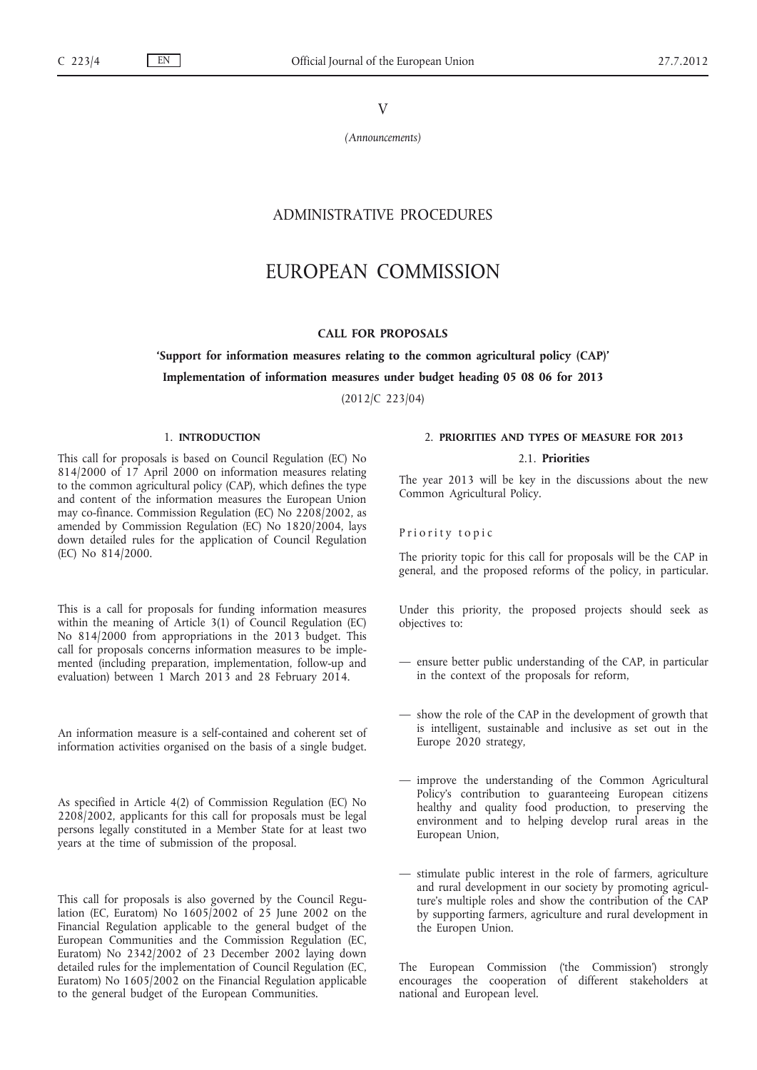## V

*(Announcements)*

# ADMINISTRATIVE PROCEDURES

# EUROPEAN COMMISSION

## **CALL FOR PROPOSALS**

## **'Support for information measures relating to the common agricultural policy (CAP)'**

#### **Implementation of information measures under budget heading 05 08 06 for 2013**

(2012/C 223/04)

## 1. **INTRODUCTION**

This call for proposals is based on Council Regulation (EC) No 814/2000 of 17 April 2000 on information measures relating to the common agricultural policy (CAP), which defines the type and content of the information measures the European Union may co-finance. Commission Regulation (EC) No 2208/2002, as amended by Commission Regulation (EC) No 1820/2004, lays down detailed rules for the application of Council Regulation (EC) No 814/2000.

This is a call for proposals for funding information measures within the meaning of Article 3(1) of Council Regulation (EC) No 814/2000 from appropriations in the 2013 budget. This call for proposals concerns information measures to be implemented (including preparation, implementation, follow-up and evaluation) between 1 March 2013 and 28 February 2014.

An information measure is a self-contained and coherent set of information activities organised on the basis of a single budget.

As specified in Article 4(2) of Commission Regulation (EC) No 2208/2002, applicants for this call for proposals must be legal persons legally constituted in a Member State for at least two years at the time of submission of the proposal.

This call for proposals is also governed by the Council Regulation (EC, Euratom) No 1605/2002 of 25 June 2002 on the Financial Regulation applicable to the general budget of the European Communities and the Commission Regulation (EC, Euratom) No 2342/2002 of 23 December 2002 laying down detailed rules for the implementation of Council Regulation (EC, Euratom) No 1605/2002 on the Financial Regulation applicable to the general budget of the European Communities.

## 2. **PRIORITIES AND TYPES OF MEASURE FOR 2013**

## 2.1. **Priorities**

The year 2013 will be key in the discussions about the new Common Agricultural Policy.

Priority topic

The priority topic for this call for proposals will be the CAP in general, and the proposed reforms of the policy, in particular.

Under this priority, the proposed projects should seek as objectives to:

- ensure better public understanding of the CAP, in particular in the context of the proposals for reform,
- show the role of the CAP in the development of growth that is intelligent, sustainable and inclusive as set out in the Europe 2020 strategy,
- improve the understanding of the Common Agricultural Policy's contribution to guaranteeing European citizens healthy and quality food production, to preserving the environment and to helping develop rural areas in the European Union,
- stimulate public interest in the role of farmers, agriculture and rural development in our society by promoting agriculture's multiple roles and show the contribution of the CAP by supporting farmers, agriculture and rural development in the Europen Union.

The European Commission ('the Commission') strongly encourages the cooperation of different stakeholders at national and European level.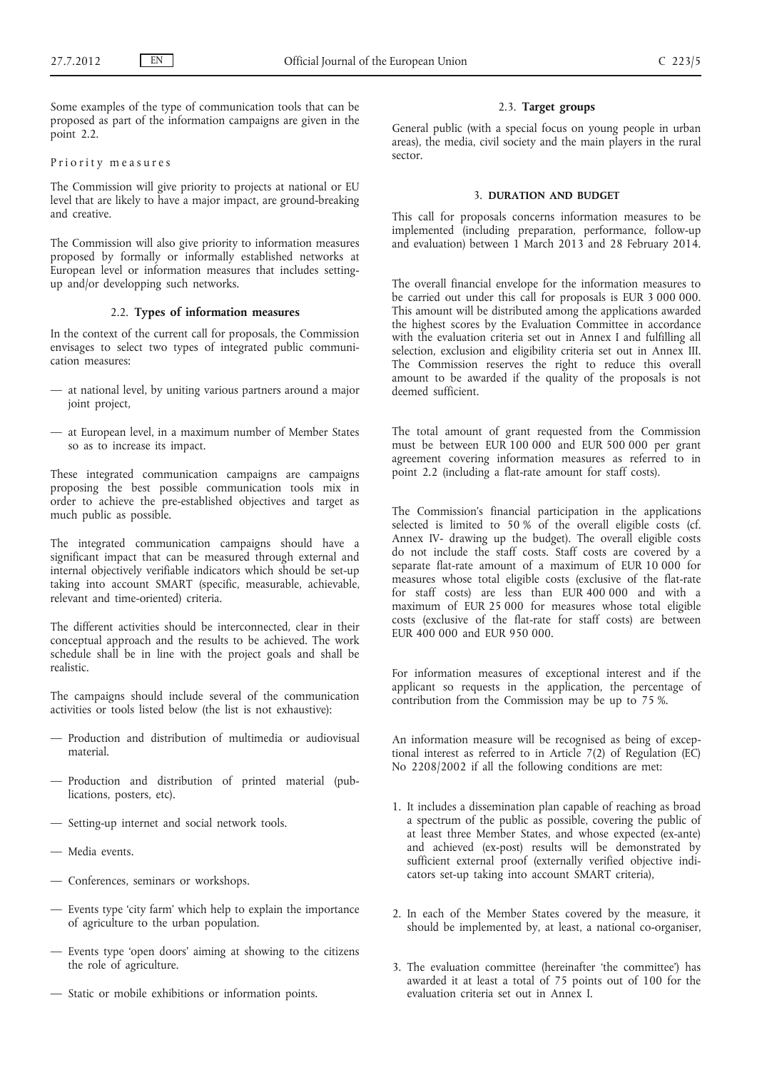Some examples of the type of communication tools that can be proposed as part of the information campaigns are given in the point 2.2.

## Priority measures

The Commission will give priority to projects at national or EU level that are likely to have a major impact, are ground-breaking and creative.

The Commission will also give priority to information measures proposed by formally or informally established networks at European level or information measures that includes settingup and/or developping such networks.

## 2.2. **Types of information measures**

In the context of the current call for proposals, the Commission envisages to select two types of integrated public communication measures:

- at national level, by uniting various partners around a major joint project,
- at European level, in a maximum number of Member States so as to increase its impact.

These integrated communication campaigns are campaigns proposing the best possible communication tools mix in order to achieve the pre-established objectives and target as much public as possible.

The integrated communication campaigns should have a significant impact that can be measured through external and internal objectively verifiable indicators which should be set-up taking into account SMART (specific, measurable, achievable, relevant and time-oriented) criteria.

The different activities should be interconnected, clear in their conceptual approach and the results to be achieved. The work schedule shall be in line with the project goals and shall be realistic.

The campaigns should include several of the communication activities or tools listed below (the list is not exhaustive):

- Production and distribution of multimedia or audiovisual material.
- Production and distribution of printed material (publications, posters, etc).
- Setting-up internet and social network tools.
- Media events.
- Conferences, seminars or workshops.
- Events type 'city farm' which help to explain the importance of agriculture to the urban population.
- Events type 'open doors' aiming at showing to the citizens the role of agriculture.
- Static or mobile exhibitions or information points.

## 2.3. **Target groups**

General public (with a special focus on young people in urban areas), the media, civil society and the main players in the rural sector.

#### 3. **DURATION AND BUDGET**

This call for proposals concerns information measures to be implemented (including preparation, performance, follow-up and evaluation) between 1 March 2013 and 28 February 2014.

The overall financial envelope for the information measures to be carried out under this call for proposals is EUR 3 000 000. This amount will be distributed among the applications awarded the highest scores by the Evaluation Committee in accordance with the evaluation criteria set out in Annex I and fulfilling all selection, exclusion and eligibility criteria set out in Annex III. The Commission reserves the right to reduce this overall amount to be awarded if the quality of the proposals is not deemed sufficient.

The total amount of grant requested from the Commission must be between EUR 100 000 and EUR 500 000 per grant agreement covering information measures as referred to in point 2.2 (including a flat-rate amount for staff costs).

The Commission's financial participation in the applications selected is limited to  $50\%$  of the overall eligible costs (cf. Annex IV- drawing up the budget). The overall eligible costs do not include the staff costs. Staff costs are covered by a separate flat-rate amount of a maximum of EUR 10 000 for measures whose total eligible costs (exclusive of the flat-rate for staff costs) are less than EUR 400 000 and with a maximum of EUR 25 000 for measures whose total eligible costs (exclusive of the flat-rate for staff costs) are between EUR 400 000 and EUR 950 000.

For information measures of exceptional interest and if the applicant so requests in the application, the percentage of contribution from the Commission may be up to 75 %.

An information measure will be recognised as being of exceptional interest as referred to in Article 7(2) of Regulation (EC) No 2208/2002 if all the following conditions are met:

- 1. It includes a dissemination plan capable of reaching as broad a spectrum of the public as possible, covering the public of at least three Member States, and whose expected (ex-ante) and achieved (ex-post) results will be demonstrated by sufficient external proof (externally verified objective indicators set-up taking into account SMART criteria),
- 2. In each of the Member States covered by the measure, it should be implemented by, at least, a national co-organiser,
- 3. The evaluation committee (hereinafter 'the committee') has awarded it at least a total of 75 points out of 100 for the evaluation criteria set out in Annex I.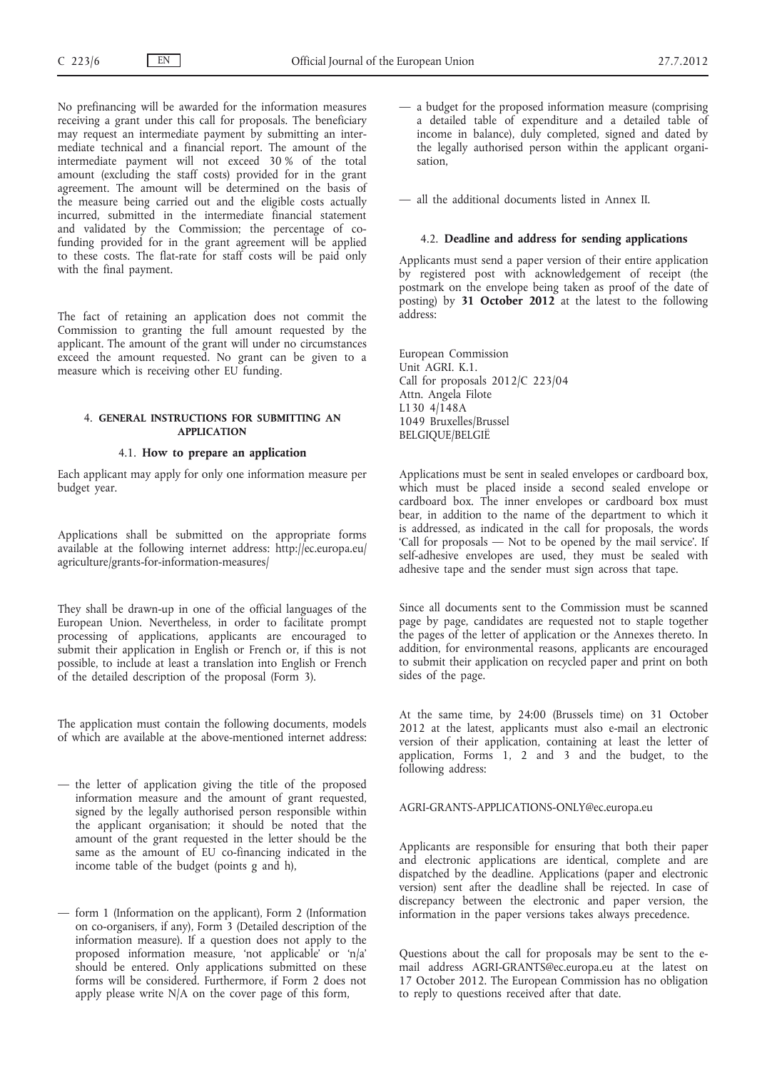No prefinancing will be awarded for the information measures receiving a grant under this call for proposals. The beneficiary may request an intermediate payment by submitting an intermediate technical and a financial report. The amount of the intermediate payment will not exceed 30 % of the total amount (excluding the staff costs) provided for in the grant agreement. The amount will be determined on the basis of the measure being carried out and the eligible costs actually incurred, submitted in the intermediate financial statement and validated by the Commission; the percentage of cofunding provided for in the grant agreement will be applied to these costs. The flat-rate for staff costs will be paid only with the final payment.

The fact of retaining an application does not commit the Commission to granting the full amount requested by the applicant. The amount of the grant will under no circumstances exceed the amount requested. No grant can be given to a measure which is receiving other EU funding.

## 4. **GENERAL INSTRUCTIONS FOR SUBMITTING AN APPLICATION**

## 4.1. **How to prepare an application**

Each applicant may apply for only one information measure per budget year.

Applications shall be submitted on the appropriate forms available at the following internet address: [http://ec.europa.eu/](http://ec.europa.eu/agriculture/grants-for-information-measures/) [agriculture/grants-for-information-measures/](http://ec.europa.eu/agriculture/grants-for-information-measures/)

They shall be drawn-up in one of the official languages of the European Union. Nevertheless, in order to facilitate prompt processing of applications, applicants are encouraged to submit their application in English or French or, if this is not possible, to include at least a translation into English or French of the detailed description of the proposal (Form 3).

The application must contain the following documents, models of which are available at the above-mentioned internet address:

- the letter of application giving the title of the proposed information measure and the amount of grant requested, signed by the legally authorised person responsible within the applicant organisation; it should be noted that the amount of the grant requested in the letter should be the same as the amount of EU co-financing indicated in the income table of the budget (points g and h),
- form 1 (Information on the applicant), Form 2 (Information on co-organisers, if any), Form 3 (Detailed description of the information measure). If a question does not apply to the proposed information measure, 'not applicable' or 'n/a' should be entered. Only applications submitted on these forms will be considered. Furthermore, if Form 2 does not apply please write N/A on the cover page of this form,

— a budget for the proposed information measure (comprising a detailed table of expenditure and a detailed table of income in balance), duly completed, signed and dated by the legally authorised person within the applicant organisation,

— all the additional documents listed in Annex II.

#### 4.2. **Deadline and address for sending applications**

Applicants must send a paper version of their entire application by registered post with acknowledgement of receipt (the postmark on the envelope being taken as proof of the date of posting) by **31 October 2012** at the latest to the following address:

European Commission Unit AGRI. K.1. Call for proposals 2012/C 223/04 Attn. Angela Filote L130 4/148A 1049 Bruxelles/Brussel BELGIQUE/BELGIË

Applications must be sent in sealed envelopes or cardboard box, which must be placed inside a second sealed envelope or cardboard box. The inner envelopes or cardboard box must bear, in addition to the name of the department to which it is addressed, as indicated in the call for proposals, the words 'Call for proposals — Not to be opened by the mail service'. If self-adhesive envelopes are used, they must be sealed with adhesive tape and the sender must sign across that tape.

Since all documents sent to the Commission must be scanned page by page, candidates are requested not to staple together the pages of the letter of application or the Annexes thereto. In addition, for environmental reasons, applicants are encouraged to submit their application on recycled paper and print on both sides of the page.

At the same time, by 24:00 (Brussels time) on 31 October 2012 at the latest, applicants must also e-mail an electronic version of their application, containing at least the letter of application, Forms 1, 2 and 3 and the budget, to the following address:

## [AGRI-GRANTS-APPLICATIONS-ONLY@ec.europa.eu](mailto:AGRI-GRANTS-APPLICATIONS-ONLY@ec.europa.eu)

Applicants are responsible for ensuring that both their paper and electronic applications are identical, complete and are dispatched by the deadline. Applications (paper and electronic version) sent after the deadline shall be rejected. In case of discrepancy between the electronic and paper version, the information in the paper versions takes always precedence.

Questions about the call for proposals may be sent to the email address [AGRI-GRANTS@ec.europa.eu](mailto:AGRI-GRANTS@ec.europa.eu) at the latest on 17 October 2012. The European Commission has no obligation to reply to questions received after that date.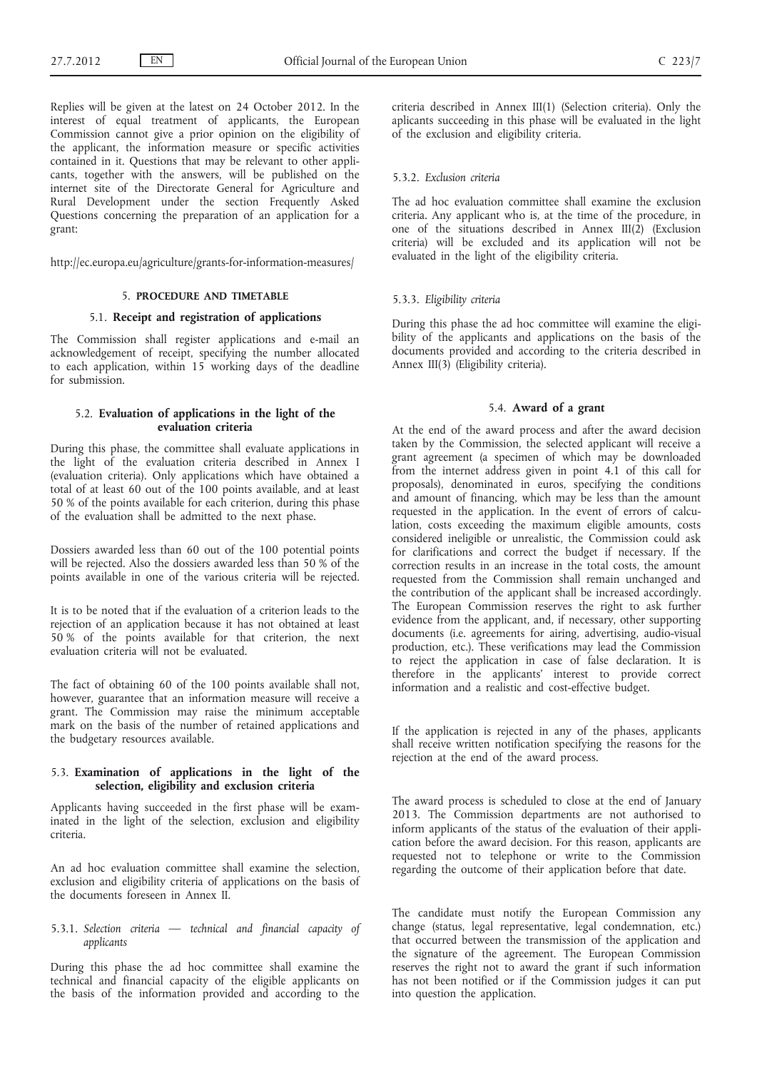Replies will be given at the latest on 24 October 2012. In the interest of equal treatment of applicants, the European Commission cannot give a prior opinion on the eligibility of the applicant, the information measure or specific activities contained in it. Questions that may be relevant to other applicants, together with the answers, will be published on the internet site of the Directorate General for Agriculture and Rural Development under the section Frequently Asked Questions concerning the preparation of an application for a grant:

<http://ec.europa.eu/agriculture/grants-for-information-measures/>

#### 5. **PROCEDURE AND TIMETABLE**

#### 5.1. **Receipt and registration of applications**

The Commission shall register applications and e-mail an acknowledgement of receipt, specifying the number allocated to each application, within 15 working days of the deadline for submission.

## 5.2. **Evaluation of applications in the light of the evaluation criteria**

During this phase, the committee shall evaluate applications in the light of the evaluation criteria described in Annex I (evaluation criteria). Only applications which have obtained a total of at least 60 out of the 100 points available, and at least 50 % of the points available for each criterion, during this phase of the evaluation shall be admitted to the next phase.

Dossiers awarded less than 60 out of the 100 potential points will be rejected. Also the dossiers awarded less than 50 % of the points available in one of the various criteria will be rejected.

It is to be noted that if the evaluation of a criterion leads to the rejection of an application because it has not obtained at least 50 % of the points available for that criterion, the next evaluation criteria will not be evaluated.

The fact of obtaining 60 of the 100 points available shall not, however, guarantee that an information measure will receive a grant. The Commission may raise the minimum acceptable mark on the basis of the number of retained applications and the budgetary resources available.

## 5.3. **Examination of applications in the light of the selection, eligibility and exclusion criteria**

Applicants having succeeded in the first phase will be examinated in the light of the selection, exclusion and eligibility criteria.

An ad hoc evaluation committee shall examine the selection, exclusion and eligibility criteria of applications on the basis of the documents foreseen in Annex II.

## 5.3.1. *Selection criteria — technical and financial capacity of applicants*

During this phase the ad hoc committee shall examine the technical and financial capacity of the eligible applicants on the basis of the information provided and according to the criteria described in Annex III(1) (Selection criteria). Only the aplicants succeeding in this phase will be evaluated in the light of the exclusion and eligibility criteria.

## 5.3.2. *Exclusion criteria*

The ad hoc evaluation committee shall examine the exclusion criteria. Any applicant who is, at the time of the procedure, in one of the situations described in Annex III(2) (Exclusion criteria) will be excluded and its application will not be evaluated in the light of the eligibility criteria.

#### 5.3.3. *Eligibility criteria*

During this phase the ad hoc committee will examine the eligibility of the applicants and applications on the basis of the documents provided and according to the criteria described in Annex III(3) (Eligibility criteria).

#### 5.4. **Award of a grant**

At the end of the award process and after the award decision taken by the Commission, the selected applicant will receive a grant agreement (a specimen of which may be downloaded from the internet address given in point 4.1 of this call for proposals), denominated in euros, specifying the conditions and amount of financing, which may be less than the amount requested in the application. In the event of errors of calculation, costs exceeding the maximum eligible amounts, costs considered ineligible or unrealistic, the Commission could ask for clarifications and correct the budget if necessary. If the correction results in an increase in the total costs, the amount requested from the Commission shall remain unchanged and the contribution of the applicant shall be increased accordingly. The European Commission reserves the right to ask further evidence from the applicant, and, if necessary, other supporting documents (i.e. agreements for airing, advertising, audio-visual production, etc.). These verifications may lead the Commission to reject the application in case of false declaration. It is therefore in the applicants' interest to provide correct information and a realistic and cost-effective budget.

If the application is rejected in any of the phases, applicants shall receive written notification specifying the reasons for the rejection at the end of the award process.

The award process is scheduled to close at the end of January 2013. The Commission departments are not authorised to inform applicants of the status of the evaluation of their application before the award decision. For this reason, applicants are requested not to telephone or write to the Commission regarding the outcome of their application before that date.

The candidate must notify the European Commission any change (status, legal representative, legal condemnation, etc.) that occurred between the transmission of the application and the signature of the agreement. The European Commission reserves the right not to award the grant if such information has not been notified or if the Commission judges it can put into question the application.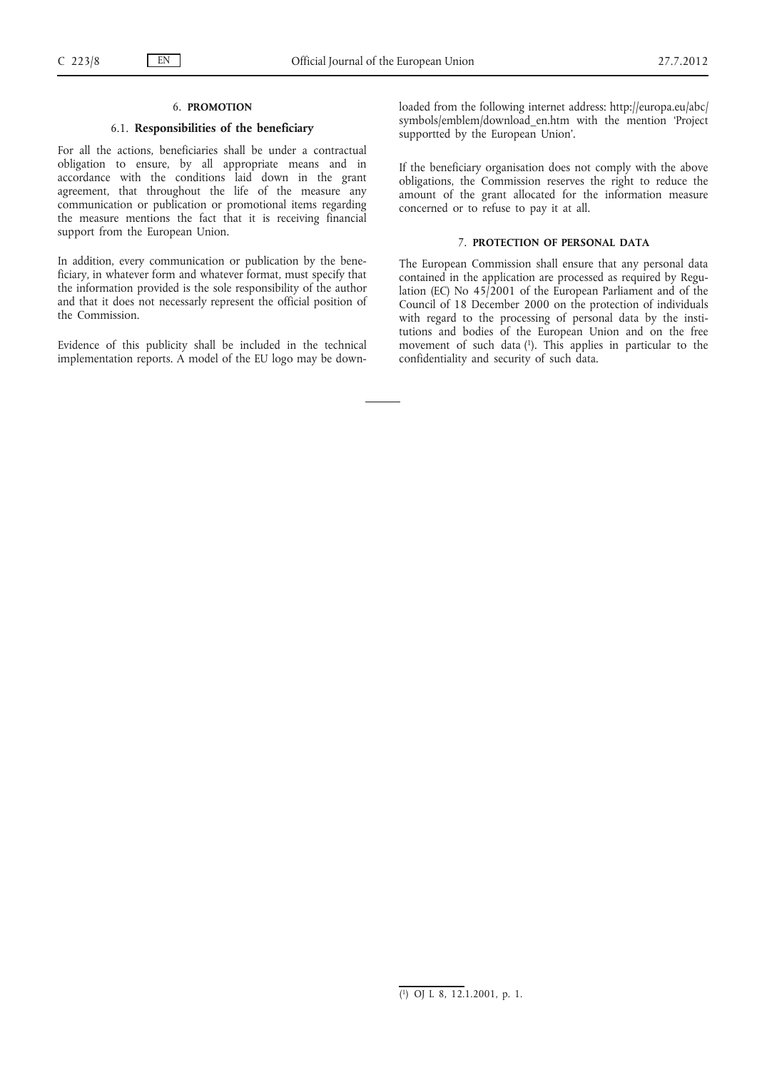#### 6. **PROMOTION**

## 6.1. **Responsibilities of the beneficiary**

For all the actions, beneficiaries shall be under a contractual obligation to ensure, by all appropriate means and in accordance with the conditions laid down in the grant agreement, that throughout the life of the measure any communication or publication or promotional items regarding the measure mentions the fact that it is receiving financial support from the European Union.

In addition, every communication or publication by the beneficiary, in whatever form and whatever format, must specify that the information provided is the sole responsibility of the author and that it does not necessarly represent the official position of the Commission.

Evidence of this publicity shall be included in the technical implementation reports. A model of the EU logo may be downloaded from the following internet address: [http://europa.eu/abc/](http://europa.eu/abc/symbols/emblem/download_en.htm) [symbols/emblem/download\\_en.htm](http://europa.eu/abc/symbols/emblem/download_en.htm) with the mention 'Project supportted by the European Union'.

If the beneficiary organisation does not comply with the above obligations, the Commission reserves the right to reduce the amount of the grant allocated for the information measure concerned or to refuse to pay it at all.

## 7. **PROTECTION OF PERSONAL DATA**

The European Commission shall ensure that any personal data contained in the application are processed as required by Regulation (EC) No 45/2001 of the European Parliament and of the Council of 18 December 2000 on the protection of individuals with regard to the processing of personal data by the institutions and bodies of the European Union and on the free movement of such data (1). This applies in particular to the confidentiality and security of such data.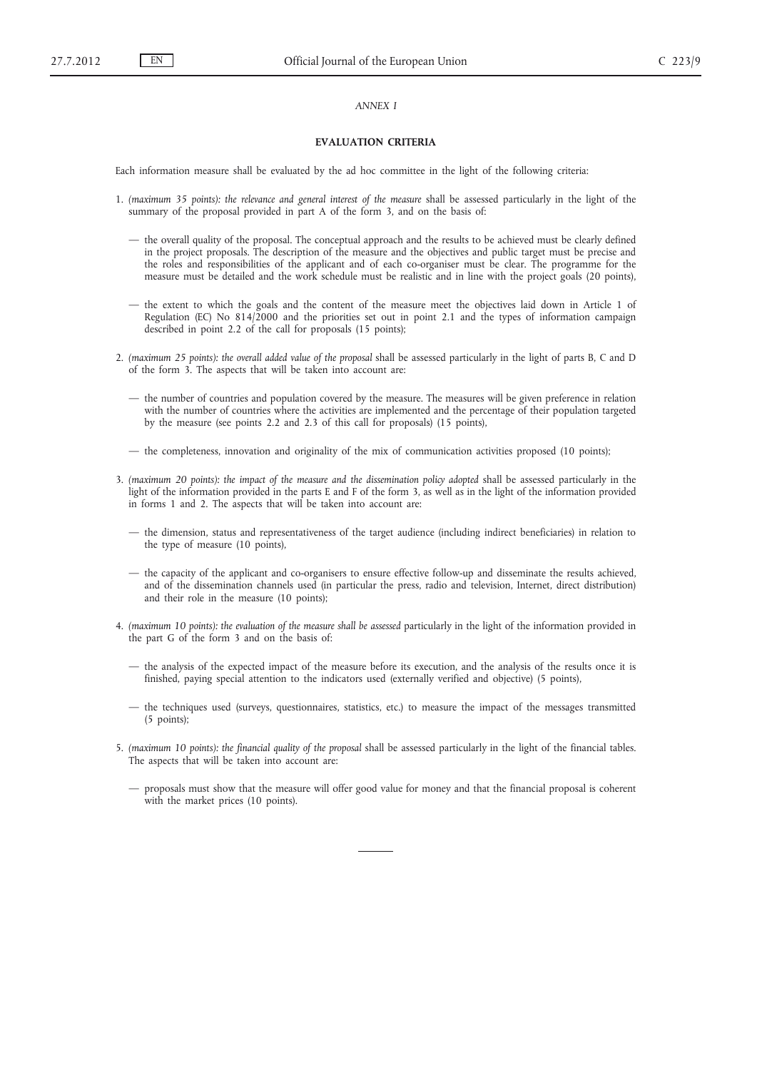#### *ANNEX I*

#### **EVALUATION CRITERIA**

Each information measure shall be evaluated by the ad hoc committee in the light of the following criteria:

- 1. *(maximum 35 points): the relevance and general interest of the measure* shall be assessed particularly in the light of the summary of the proposal provided in part A of the form 3, and on the basis of:
	- the overall quality of the proposal. The conceptual approach and the results to be achieved must be clearly defined in the project proposals. The description of the measure and the objectives and public target must be precise and the roles and responsibilities of the applicant and of each co-organiser must be clear. The programme for the measure must be detailed and the work schedule must be realistic and in line with the project goals (20 points),
	- the extent to which the goals and the content of the measure meet the objectives laid down in Article 1 of Regulation (EC) No 814/2000 and the priorities set out in point 2.1 and the types of information campaign described in point 2.2 of the call for proposals (15 points);
- 2. *(maximum 25 points): the overall added value of the proposal* shall be assessed particularly in the light of parts B, C and D of the form 3. The aspects that will be taken into account are:
	- the number of countries and population covered by the measure. The measures will be given preference in relation with the number of countries where the activities are implemented and the percentage of their population targeted by the measure (see points 2.2 and 2.3 of this call for proposals) (15 points),
	- the completeness, innovation and originality of the mix of communication activities proposed (10 points);
- 3. *(maximum 20 points): the impact of the measure and the dissemination policy adopted* shall be assessed particularly in the light of the information provided in the parts E and F of the form 3, as well as in the light of the information provided in forms 1 and 2. The aspects that will be taken into account are:
	- the dimension, status and representativeness of the target audience (including indirect beneficiaries) in relation to the type of measure (10 points),
	- the capacity of the applicant and co-organisers to ensure effective follow-up and disseminate the results achieved, and of the dissemination channels used (in particular the press, radio and television, Internet, direct distribution) and their role in the measure (10 points);
- 4. *(maximum 10 points): the evaluation of the measure shall be assessed* particularly in the light of the information provided in the part G of the form 3 and on the basis of:
	- the analysis of the expected impact of the measure before its execution, and the analysis of the results once it is finished, paying special attention to the indicators used (externally verified and objective) (5 points),
	- the techniques used (surveys, questionnaires, statistics, etc.) to measure the impact of the messages transmitted (5 points);
- 5. *(maximum 10 points): the financial quality of the proposal* shall be assessed particularly in the light of the financial tables. The aspects that will be taken into account are:
	- proposals must show that the measure will offer good value for money and that the financial proposal is coherent with the market prices (10 points).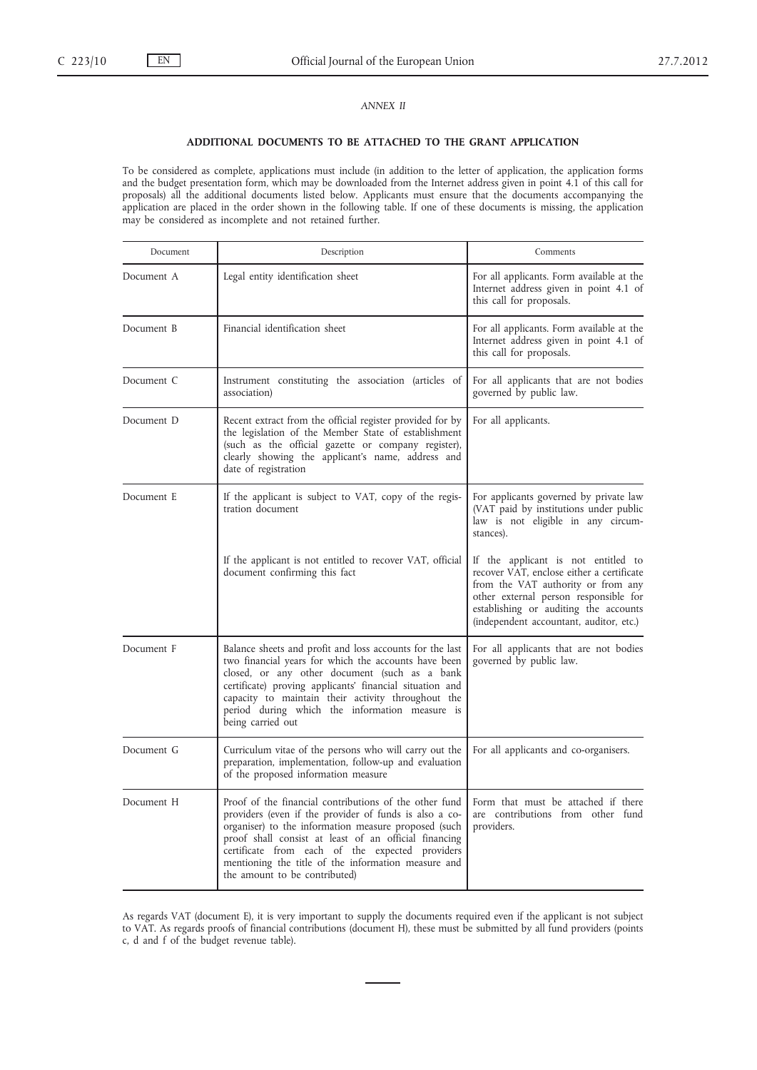## *ANNEX II*

#### **ADDITIONAL DOCUMENTS TO BE ATTACHED TO THE GRANT APPLICATION**

To be considered as complete, applications must include (in addition to the letter of application, the application forms and the budget presentation form, which may be downloaded from the Internet address given in point 4.1 of this call for proposals) all the additional documents listed below. Applicants must ensure that the documents accompanying the application are placed in the order shown in the following table. If one of these documents is missing, the application may be considered as incomplete and not retained further.

| Document   | Description                                                                                                                                                                                                                                                                                                                                                                  | Comments                                                                                                                                                                                                                                            |
|------------|------------------------------------------------------------------------------------------------------------------------------------------------------------------------------------------------------------------------------------------------------------------------------------------------------------------------------------------------------------------------------|-----------------------------------------------------------------------------------------------------------------------------------------------------------------------------------------------------------------------------------------------------|
| Document A | Legal entity identification sheet                                                                                                                                                                                                                                                                                                                                            | For all applicants. Form available at the<br>Internet address given in point 4.1 of<br>this call for proposals.                                                                                                                                     |
| Document B | Financial identification sheet                                                                                                                                                                                                                                                                                                                                               | For all applicants. Form available at the<br>Internet address given in point 4.1 of<br>this call for proposals.                                                                                                                                     |
| Document C | Instrument constituting the association (articles of<br>association)                                                                                                                                                                                                                                                                                                         | For all applicants that are not bodies<br>governed by public law.                                                                                                                                                                                   |
| Document D | Recent extract from the official register provided for by<br>the legislation of the Member State of establishment<br>(such as the official gazette or company register),<br>clearly showing the applicant's name, address and<br>date of registration                                                                                                                        | For all applicants.                                                                                                                                                                                                                                 |
| Document E | If the applicant is subject to VAT, copy of the regis-<br>tration document                                                                                                                                                                                                                                                                                                   | For applicants governed by private law<br>(VAT paid by institutions under public<br>law is not eligible in any circum-<br>stances).                                                                                                                 |
|            | If the applicant is not entitled to recover VAT, official<br>document confirming this fact                                                                                                                                                                                                                                                                                   | If the applicant is not entitled to<br>recover VAT, enclose either a certificate<br>from the VAT authority or from any<br>other external person responsible for<br>establishing or auditing the accounts<br>(independent accountant, auditor, etc.) |
| Document F | Balance sheets and profit and loss accounts for the last<br>two financial years for which the accounts have been<br>closed, or any other document (such as a bank<br>certificate) proving applicants' financial situation and<br>capacity to maintain their activity throughout the<br>period during which the information measure is<br>being carried out                   | For all applicants that are not bodies<br>governed by public law.                                                                                                                                                                                   |
| Document G | Curriculum vitae of the persons who will carry out the<br>preparation, implementation, follow-up and evaluation<br>of the proposed information measure                                                                                                                                                                                                                       | For all applicants and co-organisers.                                                                                                                                                                                                               |
| Document H | Proof of the financial contributions of the other fund<br>providers (even if the provider of funds is also a co-<br>organiser) to the information measure proposed (such<br>proof shall consist at least of an official financing<br>certificate from each of the expected providers<br>mentioning the title of the information measure and<br>the amount to be contributed) | Form that must be attached if there<br>are contributions from other fund<br>providers.                                                                                                                                                              |

As regards VAT (document E), it is very important to supply the documents required even if the applicant is not subject to VAT. As regards proofs of financial contributions (document H), these must be submitted by all fund providers (points c, d and f of the budget revenue table).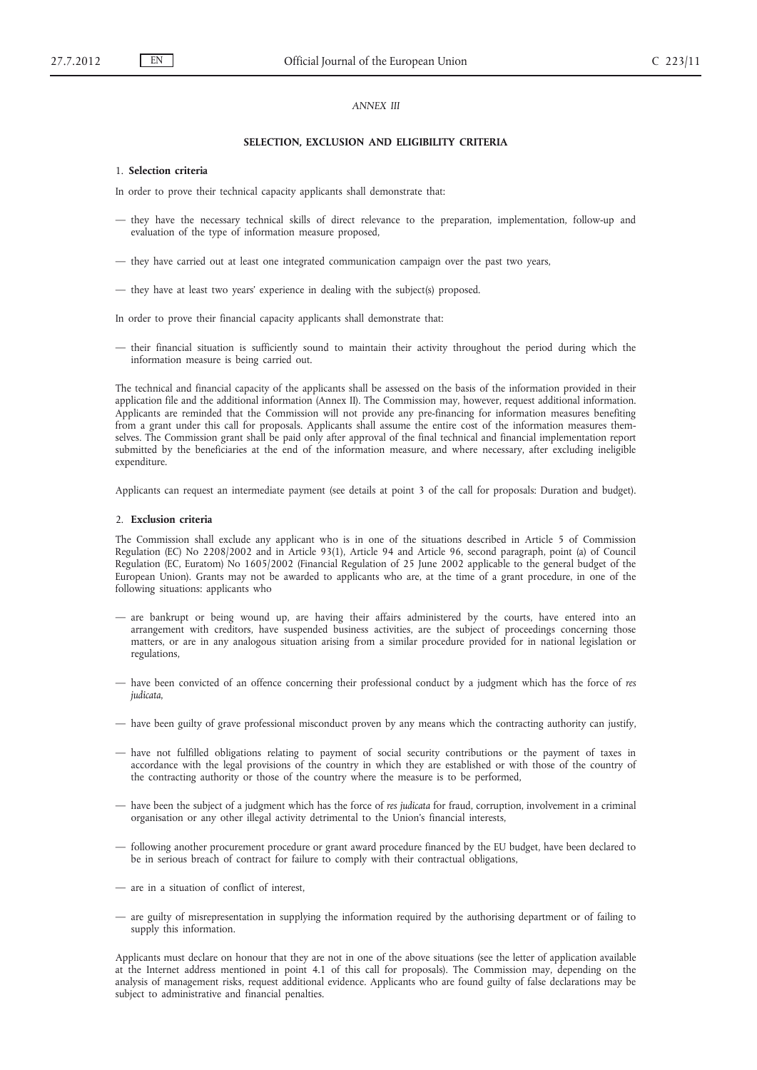#### *ANNEX III*

#### **SELECTION, EXCLUSION AND ELIGIBILITY CRITERIA**

#### 1. **Selection criteria**

In order to prove their technical capacity applicants shall demonstrate that:

- they have the necessary technical skills of direct relevance to the preparation, implementation, follow-up and evaluation of the type of information measure proposed,
- they have carried out at least one integrated communication campaign over the past two years,
- they have at least two years' experience in dealing with the subject(s) proposed.

In order to prove their financial capacity applicants shall demonstrate that:

— their financial situation is sufficiently sound to maintain their activity throughout the period during which the information measure is being carried out.

The technical and financial capacity of the applicants shall be assessed on the basis of the information provided in their application file and the additional information (Annex II). The Commission may, however, request additional information. Applicants are reminded that the Commission will not provide any pre-financing for information measures benefiting from a grant under this call for proposals. Applicants shall assume the entire cost of the information measures themselves. The Commission grant shall be paid only after approval of the final technical and financial implementation report submitted by the beneficiaries at the end of the information measure, and where necessary, after excluding ineligible expenditure.

Applicants can request an intermediate payment (see details at point 3 of the call for proposals: Duration and budget).

#### 2. **Exclusion criteria**

The Commission shall exclude any applicant who is in one of the situations described in Article 5 of Commission Regulation (EC) No 2208/2002 and in Article 93(1), Article 94 and Article 96, second paragraph, point (a) of Council Regulation (EC, Euratom) No 1605/2002 (Financial Regulation of 25 June 2002 applicable to the general budget of the European Union). Grants may not be awarded to applicants who are, at the time of a grant procedure, in one of the following situations: applicants who

- are bankrupt or being wound up, are having their affairs administered by the courts, have entered into an arrangement with creditors, have suspended business activities, are the subject of proceedings concerning those matters, or are in any analogous situation arising from a similar procedure provided for in national legislation or regulations,
- have been convicted of an offence concerning their professional conduct by a judgment which has the force of *res judicata*,
- have been guilty of grave professional misconduct proven by any means which the contracting authority can justify,
- have not fulfilled obligations relating to payment of social security contributions or the payment of taxes in accordance with the legal provisions of the country in which they are established or with those of the country of the contracting authority or those of the country where the measure is to be performed,
- have been the subject of a judgment which has the force of *res judicata* for fraud, corruption, involvement in a criminal organisation or any other illegal activity detrimental to the Union's financial interests,
- following another procurement procedure or grant award procedure financed by the EU budget, have been declared to be in serious breach of contract for failure to comply with their contractual obligations,
- are in a situation of conflict of interest,
- are guilty of misrepresentation in supplying the information required by the authorising department or of failing to supply this information.

Applicants must declare on honour that they are not in one of the above situations (see the letter of application available at the Internet address mentioned in point 4.1 of this call for proposals). The Commission may, depending on the analysis of management risks, request additional evidence. Applicants who are found guilty of false declarations may be subject to administrative and financial penalties.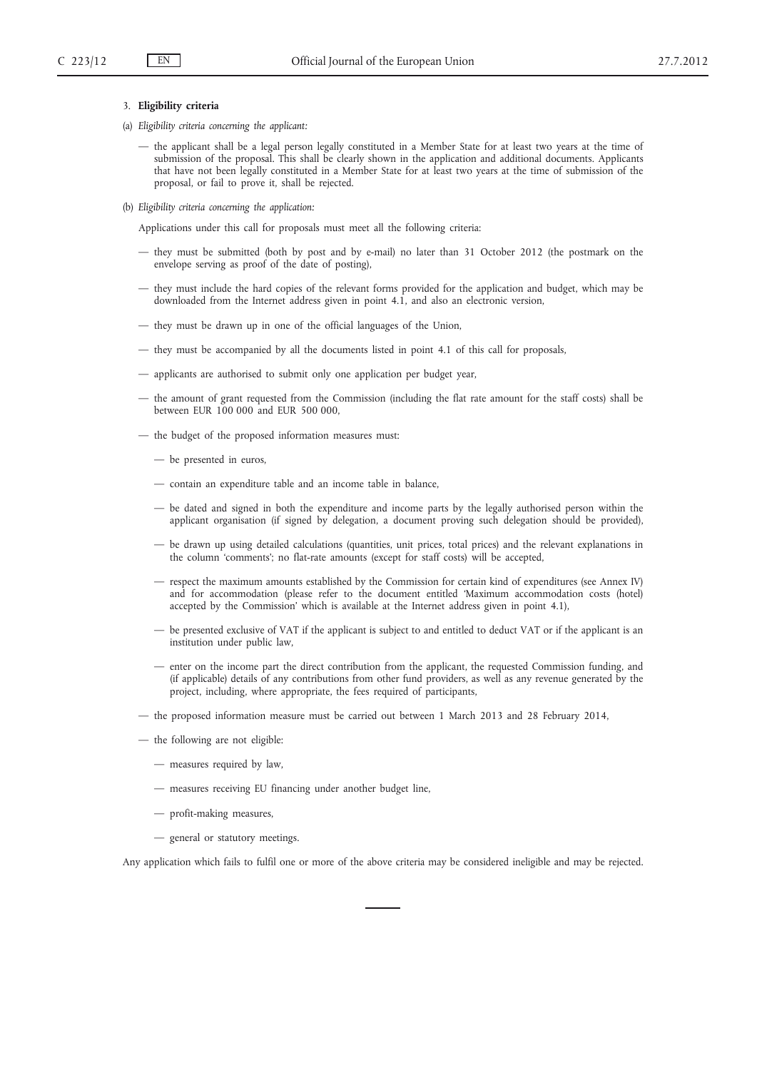## 3. **Eligibility criteria**

- (a) *Eligibility criteria concerning the applicant:*
	- the applicant shall be a legal person legally constituted in a Member State for at least two years at the time of submission of the proposal. This shall be clearly shown in the application and additional documents. Applicants that have not been legally constituted in a Member State for at least two years at the time of submission of the proposal, or fail to prove it, shall be rejected.
- (b) *Eligibility criteria concerning the application:*

Applications under this call for proposals must meet all the following criteria:

- they must be submitted (both by post and by e-mail) no later than 31 October 2012 (the postmark on the envelope serving as proof of the date of posting),
- they must include the hard copies of the relevant forms provided for the application and budget, which may be downloaded from the Internet address given in point 4.1, and also an electronic version,
- they must be drawn up in one of the official languages of the Union,
- they must be accompanied by all the documents listed in point 4.1 of this call for proposals,
- applicants are authorised to submit only one application per budget year,
- the amount of grant requested from the Commission (including the flat rate amount for the staff costs) shall be between EUR 100 000 and EUR 500 000,
- the budget of the proposed information measures must:
	- be presented in euros,
	- contain an expenditure table and an income table in balance,
	- be dated and signed in both the expenditure and income parts by the legally authorised person within the applicant organisation (if signed by delegation, a document proving such delegation should be provided),
	- be drawn up using detailed calculations (quantities, unit prices, total prices) and the relevant explanations in the column 'comments'; no flat-rate amounts (except for staff costs) will be accepted,
	- respect the maximum amounts established by the Commission for certain kind of expenditures (see Annex IV) and for accommodation (please refer to the document entitled 'Maximum accommodation costs (hotel) accepted by the Commission' which is available at the Internet address given in point 4.1),
	- be presented exclusive of VAT if the applicant is subject to and entitled to deduct VAT or if the applicant is an institution under public law,
	- enter on the income part the direct contribution from the applicant, the requested Commission funding, and (if applicable) details of any contributions from other fund providers, as well as any revenue generated by the project, including, where appropriate, the fees required of participants,
- the proposed information measure must be carried out between 1 March 2013 and 28 February 2014,
- the following are not eligible:
	- measures required by law,
	- measures receiving EU financing under another budget line,
	- profit-making measures,
	- general or statutory meetings.

Any application which fails to fulfil one or more of the above criteria may be considered ineligible and may be rejected.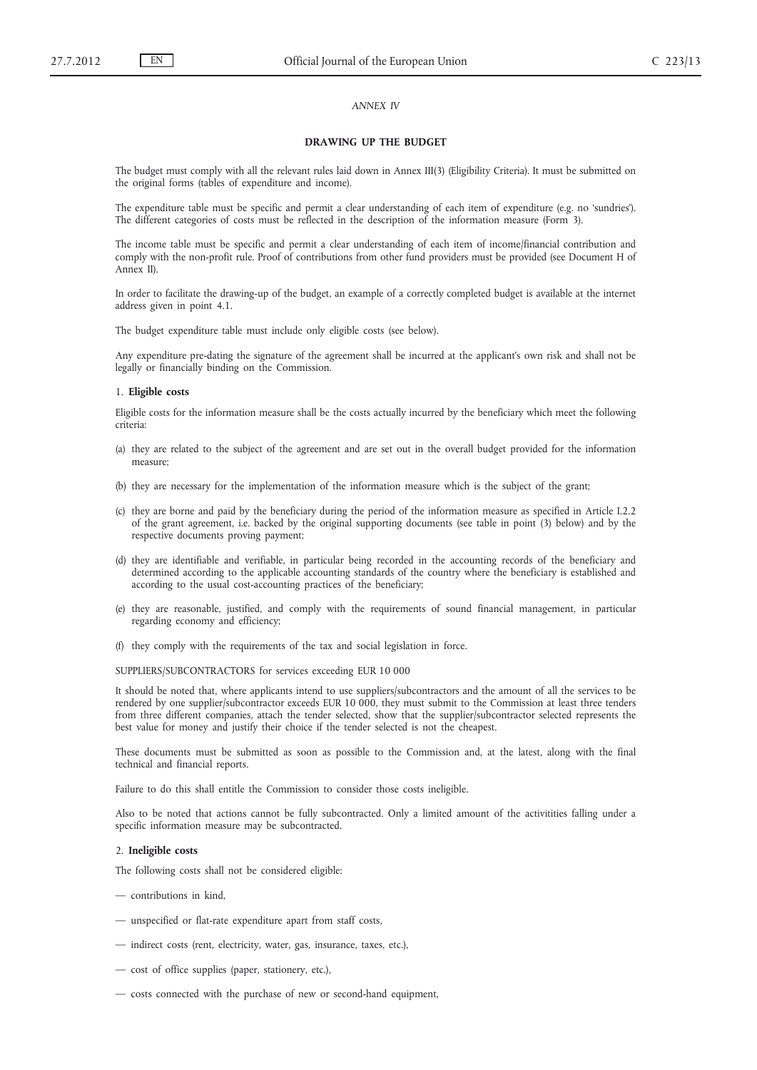## *ANNEX IV*

#### **DRAWING UP THE BUDGET**

The budget must comply with all the relevant rules laid down in Annex III(3) (Eligibility Criteria). It must be submitted on the original forms (tables of expenditure and income).

The expenditure table must be specific and permit a clear understanding of each item of expenditure (e.g. no 'sundries'). The different categories of costs must be reflected in the description of the information measure (Form 3).

The income table must be specific and permit a clear understanding of each item of income/financial contribution and comply with the non-profit rule. Proof of contributions from other fund providers must be provided (see Document H of Annex II).

In order to facilitate the drawing-up of the budget, an example of a correctly completed budget is available at the internet address given in point 4.1.

The budget expenditure table must include only eligible costs (see below).

Any expenditure pre-dating the signature of the agreement shall be incurred at the applicant's own risk and shall not be legally or financially binding on the Commission.

#### 1. **Eligible costs**

Eligible costs for the information measure shall be the costs actually incurred by the beneficiary which meet the following criteria:

- (a) they are related to the subject of the agreement and are set out in the overall budget provided for the information measure;
- (b) they are necessary for the implementation of the information measure which is the subject of the grant;
- (c) they are borne and paid by the beneficiary during the period of the information measure as specified in Article I.2.2 of the grant agreement, i.e. backed by the original supporting documents (see table in point (3) below) and by the respective documents proving payment;
- (d) they are identifiable and verifiable, in particular being recorded in the accounting records of the beneficiary and determined according to the applicable accounting standards of the country where the beneficiary is established and according to the usual cost-accounting practices of the beneficiary;
- (e) they are reasonable, justified, and comply with the requirements of sound financial management, in particular regarding economy and efficiency;
- (f) they comply with the requirements of the tax and social legislation in force.

SUPPLIERS/SUBCONTRACTORS for services exceeding EUR 10 000

It should be noted that, where applicants intend to use suppliers/subcontractors and the amount of all the services to be rendered by one supplier/subcontractor exceeds EUR 10 000, they must submit to the Commission at least three tenders from three different companies, attach the tender selected, show that the supplier/subcontractor selected represents the best value for money and justify their choice if the tender selected is not the cheapest.

These documents must be submitted as soon as possible to the Commission and, at the latest, along with the final technical and financial reports.

Failure to do this shall entitle the Commission to consider those costs ineligible.

Also to be noted that actions cannot be fully subcontracted. Only a limited amount of the activitities falling under a specific information measure may be subcontracted.

#### 2. **Ineligible costs**

The following costs shall not be considered eligible:

- contributions in kind,
- unspecified or flat-rate expenditure apart from staff costs,
- indirect costs (rent, electricity, water, gas, insurance, taxes, etc.),
- cost of office supplies (paper, stationery, etc.),
- costs connected with the purchase of new or second-hand equipment,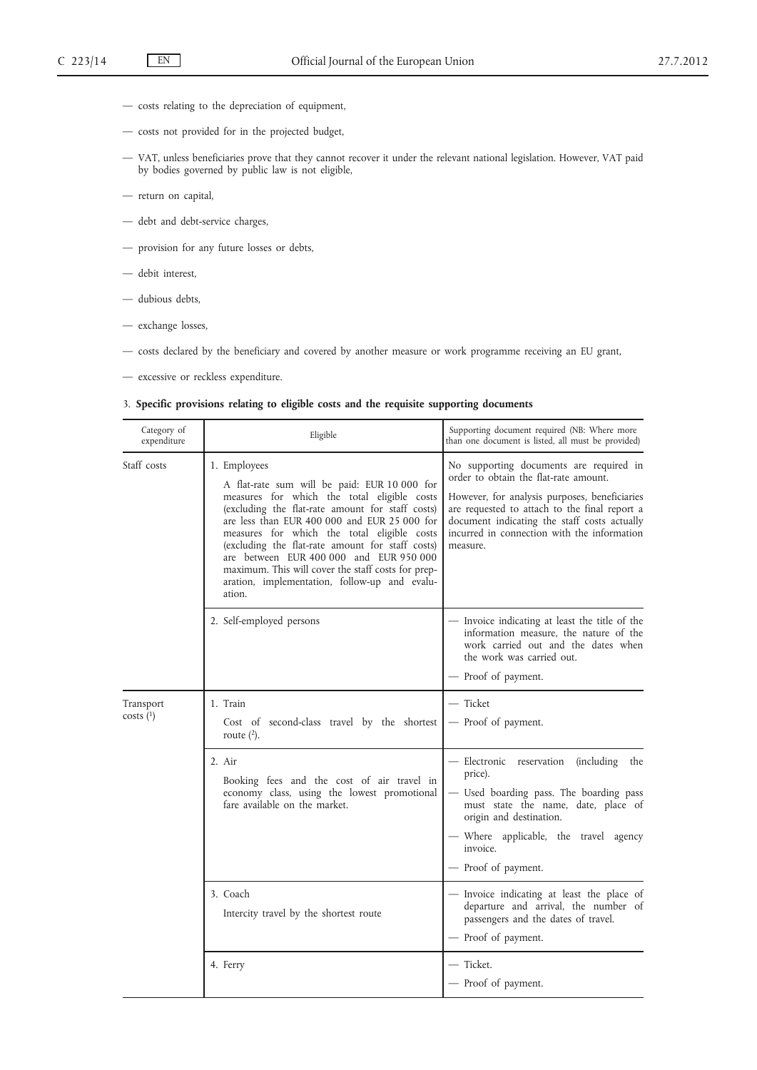- costs relating to the depreciation of equipment,
- costs not provided for in the projected budget,
- VAT, unless beneficiaries prove that they cannot recover it under the relevant national legislation. However, VAT paid by bodies governed by public law is not eligible,
- return on capital,
- debt and debt-service charges,
- provision for any future losses or debts,
- debit interest,
- dubious debts,
- exchange losses,
- costs declared by the beneficiary and covered by another measure or work programme receiving an EU grant,
- excessive or reckless expenditure.

# 3. **Specific provisions relating to eligible costs and the requisite supporting documents**

| Category of<br>expenditure | Eligible                                                                                                                                                                                                                                                                                                                                                                                                                                                                       | Supporting document required (NB: Where more<br>than one document is listed, all must be provided)                                                                                                                                                                                            |
|----------------------------|--------------------------------------------------------------------------------------------------------------------------------------------------------------------------------------------------------------------------------------------------------------------------------------------------------------------------------------------------------------------------------------------------------------------------------------------------------------------------------|-----------------------------------------------------------------------------------------------------------------------------------------------------------------------------------------------------------------------------------------------------------------------------------------------|
| Staff costs                | 1. Employees<br>A flat-rate sum will be paid: EUR 10 000 for<br>measures for which the total eligible costs<br>(excluding the flat-rate amount for staff costs)<br>are less than EUR 400 000 and EUR 25 000 for<br>measures for which the total eligible costs<br>(excluding the flat-rate amount for staff costs)<br>are between EUR 400 000 and EUR 950 000<br>maximum. This will cover the staff costs for prep-<br>aration, implementation, follow-up and evalu-<br>ation. | No supporting documents are required in<br>order to obtain the flat-rate amount.<br>However, for analysis purposes, beneficiaries<br>are requested to attach to the final report a<br>document indicating the staff costs actually<br>incurred in connection with the information<br>measure. |
|                            | 2. Self-employed persons                                                                                                                                                                                                                                                                                                                                                                                                                                                       | - Invoice indicating at least the title of the<br>information measure, the nature of the<br>work carried out and the dates when<br>the work was carried out.<br>- Proof of payment.                                                                                                           |
| Transport<br>costs(1)      | 1. Train<br>Cost of second-class travel by the shortest<br>route $(2)$ .                                                                                                                                                                                                                                                                                                                                                                                                       | — Ticket<br>- Proof of payment.                                                                                                                                                                                                                                                               |
|                            | 2. Air<br>Booking fees and the cost of air travel in<br>economy class, using the lowest promotional<br>fare available on the market.                                                                                                                                                                                                                                                                                                                                           | - Electronic reservation<br>(including the<br>price).<br>- Used boarding pass. The boarding pass<br>must state the name, date, place of<br>origin and destination.<br>- Where applicable, the travel agency<br>invoice.<br>- Proof of payment.                                                |
|                            | 3. Coach<br>Intercity travel by the shortest route                                                                                                                                                                                                                                                                                                                                                                                                                             | - Invoice indicating at least the place of<br>departure and arrival, the number of<br>passengers and the dates of travel.<br>- Proof of payment.                                                                                                                                              |
|                            | 4. Ferry                                                                                                                                                                                                                                                                                                                                                                                                                                                                       | - Ticket.<br>- Proof of payment.                                                                                                                                                                                                                                                              |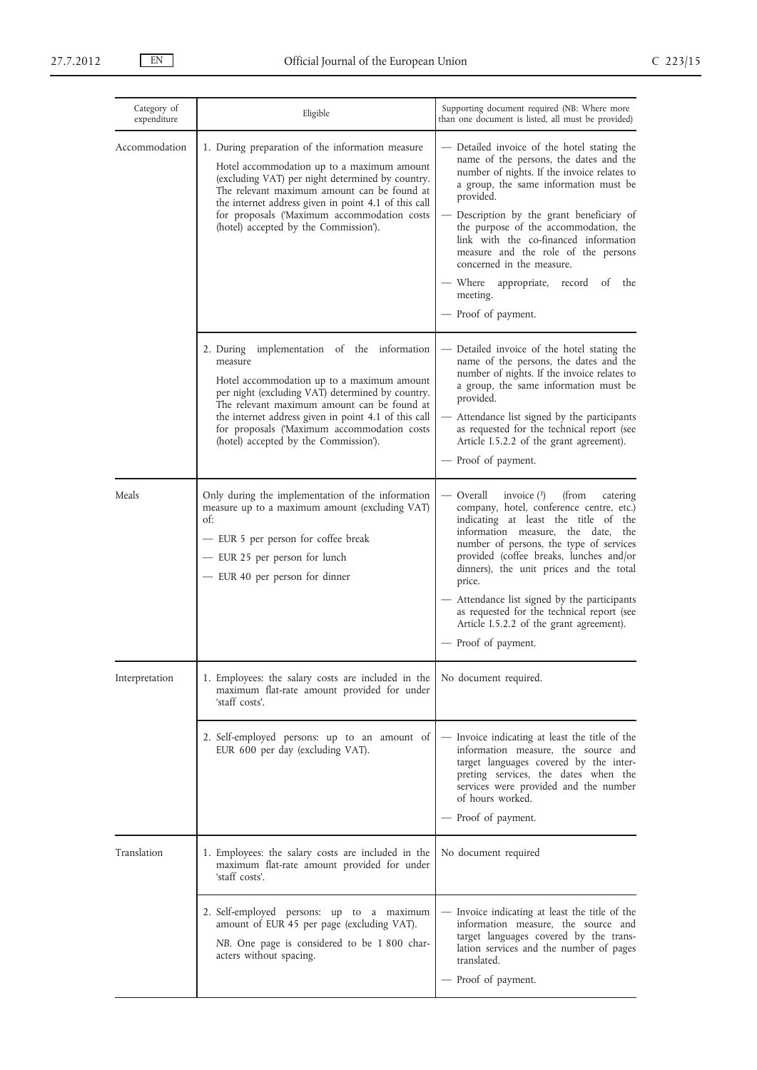| Category of<br>expenditure | Eligible                                                                                                                                                                                                                                                                                                                                                   | Supporting document required (NB: Where more<br>than one document is listed, all must be provided)                                                                                                                                                                                                                                                                                                                                                                                   |
|----------------------------|------------------------------------------------------------------------------------------------------------------------------------------------------------------------------------------------------------------------------------------------------------------------------------------------------------------------------------------------------------|--------------------------------------------------------------------------------------------------------------------------------------------------------------------------------------------------------------------------------------------------------------------------------------------------------------------------------------------------------------------------------------------------------------------------------------------------------------------------------------|
| Accommodation              | 1. During preparation of the information measure<br>Hotel accommodation up to a maximum amount<br>(excluding VAT) per night determined by country.<br>The relevant maximum amount can be found at<br>the internet address given in point 4.1 of this call<br>for proposals ('Maximum accommodation costs<br>(hotel) accepted by the Commission').          | Detailed invoice of the hotel stating the<br>name of the persons, the dates and the<br>number of nights. If the invoice relates to<br>a group, the same information must be<br>provided.<br>Description by the grant beneficiary of<br>the purpose of the accommodation, the<br>link with the co-financed information<br>measure and the role of the persons<br>concerned in the measure.<br>— Where<br>appropriate,<br>record of<br>the<br>meeting.<br>- Proof of payment.          |
|                            | implementation of the information<br>2. During<br>measure<br>Hotel accommodation up to a maximum amount<br>per night (excluding VAT) determined by country.<br>The relevant maximum amount can be found at<br>the internet address given in point 4.1 of this call<br>for proposals ('Maximum accommodation costs<br>(hotel) accepted by the Commission'). | - Detailed invoice of the hotel stating the<br>name of the persons, the dates and the<br>number of nights. If the invoice relates to<br>a group, the same information must be<br>provided.<br>- Attendance list signed by the participants<br>as requested for the technical report (see<br>Article I.5.2.2 of the grant agreement).<br>- Proof of payment.                                                                                                                          |
| Meals                      | Only during the implementation of the information<br>measure up to a maximum amount (excluding VAT)<br>of:<br>- EUR 5 per person for coffee break<br>- EUR 25 per person for lunch<br>- EUR 40 per person for dinner                                                                                                                                       | Overall<br>invoice $(3)$<br>(from<br>catering<br>company, hotel, conference centre, etc.)<br>indicating at least the title of the<br>information measure, the date,<br>the<br>number of persons, the type of services<br>provided (coffee breaks, lunches and/or<br>dinners), the unit prices and the total<br>price.<br>Attendance list signed by the participants<br>as requested for the technical report (see<br>Article I.5.2.2 of the grant agreement).<br>- Proof of payment. |
| Interpretation             | 1. Employees: the salary costs are included in the<br>maximum flat-rate amount provided for under<br>'staff costs'.                                                                                                                                                                                                                                        | No document required.                                                                                                                                                                                                                                                                                                                                                                                                                                                                |
|                            | 2. Self-employed persons: up to an amount of<br>EUR 600 per day (excluding VAT).                                                                                                                                                                                                                                                                           | - Invoice indicating at least the title of the<br>information measure, the source and<br>target languages covered by the inter-<br>preting services, the dates when the<br>services were provided and the number<br>of hours worked.<br>- Proof of payment.                                                                                                                                                                                                                          |
| Translation                | 1. Employees: the salary costs are included in the<br>maximum flat-rate amount provided for under<br>'staff costs'.                                                                                                                                                                                                                                        | No document required                                                                                                                                                                                                                                                                                                                                                                                                                                                                 |
|                            | 2. Self-employed persons: up to a maximum<br>amount of EUR 45 per page (excluding VAT).<br>NB. One page is considered to be 1 800 char-<br>acters without spacing.                                                                                                                                                                                         | Invoice indicating at least the title of the<br>information measure, the source and<br>target languages covered by the trans-<br>lation services and the number of pages<br>translated.<br>Proof of payment.                                                                                                                                                                                                                                                                         |